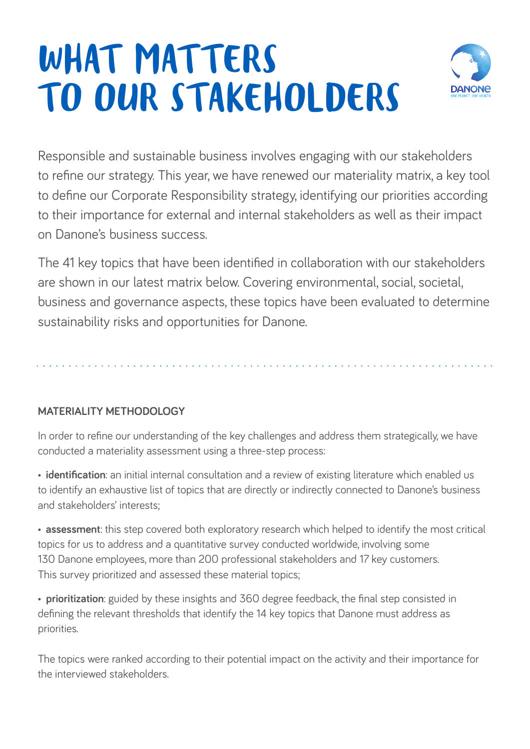# WHAT MATTERS TO OUR STAKEHOLDERS



Responsible and sustainable business involves engaging with our stakeholders to refine our strategy. This year, we have renewed our materiality matrix, a key tool to define our Corporate Responsibility strategy, identifying our priorities according to their importance for external and internal stakeholders as well as their impact on Danone's business success.

The 41 key topics that have been identified in collaboration with our stakeholders are shown in our latest matrix below. Covering environmental, social, societal, business and governance aspects, these topics have been evaluated to determine sustainability risks and opportunities for Danone.

## **MATERIALITY METHODOLOGY**

In order to refine our understanding of the key challenges and address them strategically, we have conducted a materiality assessment using a three-step process:

• **identification**: an initial internal consultation and a review of existing literature which enabled us to identify an exhaustive list of topics that are directly or indirectly connected to Danone's business and stakeholders' interests;

• **assessment**: this step covered both exploratory research which helped to identify the most critical topics for us to address and a quantitative survey conducted worldwide, involving some 130 Danone employees, more than 200 professional stakeholders and 17 key customers. This survey prioritized and assessed these material topics;

• **prioritization**: guided by these insights and 360 degree feedback, the final step consisted in defining the relevant thresholds that identify the 14 key topics that Danone must address as priorities.

The topics were ranked according to their potential impact on the activity and their importance for the interviewed stakeholders.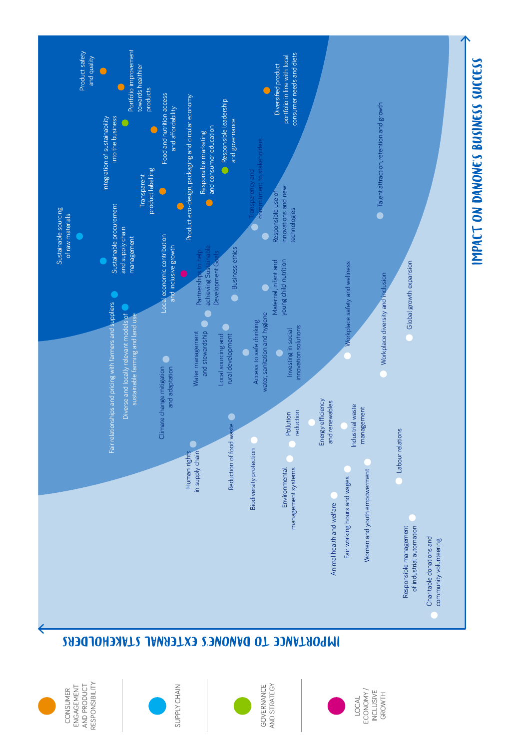

## IMPORTANCE TO DANONE'S EXTERNAL STAKEHOLDERS

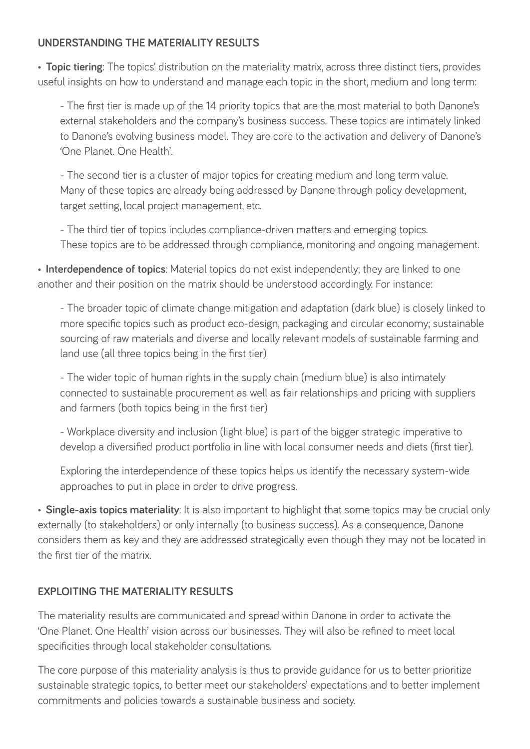## **UNDERSTANDING THE MATERIALITY RESULTS**

• **Topic tiering**: The topics' distribution on the materiality matrix, across three distinct tiers, provides useful insights on how to understand and manage each topic in the short, medium and long term:

- The first tier is made up of the 14 priority topics that are the most material to both Danone's external stakeholders and the company's business success. These topics are intimately linked to Danone's evolving business model. They are core to the activation and delivery of Danone's 'One Planet. One Health'.

- The second tier is a cluster of major topics for creating medium and long term value. Many of these topics are already being addressed by Danone through policy development, target setting, local project management, etc.

- The third tier of topics includes compliance-driven matters and emerging topics. These topics are to be addressed through compliance, monitoring and ongoing management.

• **Interdependence of topics**: Material topics do not exist independently; they are linked to one another and their position on the matrix should be understood accordingly. For instance:

- The broader topic of climate change mitigation and adaptation (dark blue) is closely linked to more specific topics such as product eco-design, packaging and circular economy; sustainable sourcing of raw materials and diverse and locally relevant models of sustainable farming and land use (all three topics being in the first tier)

- The wider topic of human rights in the supply chain (medium blue) is also intimately connected to sustainable procurement as well as fair relationships and pricing with suppliers and farmers (both topics being in the first tier)

- Workplace diversity and inclusion (light blue) is part of the bigger strategic imperative to develop a diversified product portfolio in line with local consumer needs and diets (first tier).

Exploring the interdependence of these topics helps us identify the necessary system-wide approaches to put in place in order to drive progress.

• **Single-axis topics materiality**: It is also important to highlight that some topics may be crucial only externally (to stakeholders) or only internally (to business success). As a consequence, Danone considers them as key and they are addressed strategically even though they may not be located in the first tier of the matrix.

## **EXPLOITING THE MATERIALITY RESULTS**

The materiality results are communicated and spread within Danone in order to activate the 'One Planet. One Health' vision across our businesses. They will also be refined to meet local specificities through local stakeholder consultations.

The core purpose of this materiality analysis is thus to provide guidance for us to better prioritize sustainable strategic topics, to better meet our stakeholders' expectations and to better implement commitments and policies towards a sustainable business and society.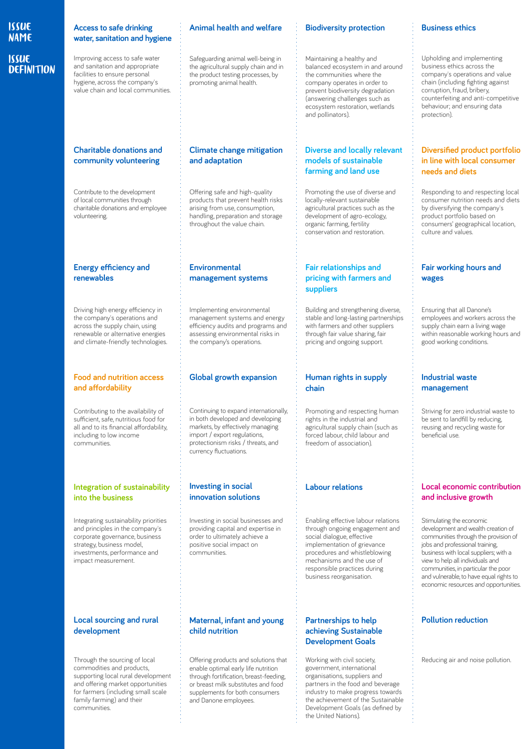### **ISSUE** NAME **ISSUE DEFINITION**

#### **Access to safe drinking water, sanitation and hygiene**

Improving access to safe water and sanitation and appropriate facilities to ensure personal hygiene, across the company's value chain and local communities.

#### **Charitable donations and community volunteering**

Contribute to the development of local communities through charitable donations and employee volunteering.

#### **Energy efficiency and renewables**

Driving high energy efficiency in the company's operations and across the supply chain, using renewable or alternative energies and climate-friendly technologies.

#### **Food and nutrition access**  and affordability

Contributing to the availability of sufficient, safe, nutritious food for all and to its financial affordability, including to low income communities.

#### **Integration of sustainability into the business**

Integrating sustainability priorities and principles in the company's corporate governance, business strategy, business model, investments, performance and impact measurement.

#### **Local sourcing and rural development**

Through the sourcing of local commodities and products, supporting local rural development and offering market opportunities for farmers (including small scale family farming) and their communities.

#### **Animal health and welfare**

Safeguarding animal well-being in the agricultural supply chain and in the product testing processes, by promoting animal health.

#### **Climate change mitigation and adaptation**

Offering safe and high-quality products that prevent health risks arising from use, consumption, handling, preparation and storage throughout the value chain.

#### **Environmental management systems**

Implementing environmental management systems and energy efficiency audits and programs and assessing environmental risks in the company's operations.

#### **Global growth expansion**

Continuing to expand internationally, in both developed and developing markets, by effectively managing import / export regulations, protectionism risks / threats, and currency fluctuations.

#### **Investing in social innovation solutions**

Investing in social businesses and providing capital and expertise in order to ultimately achieve a positive social impact on communities.

#### **Maternal, infant and young child nutrition**

Offering products and solutions that enable optimal early life nutrition through fortification, breast-feeding, or breast milk substitutes and food supplements for both consumers and Danone employees.

#### **Biodiversity protection**

Maintaining a healthy and balanced ecosystem in and around the communities where the company operates in order to prevent biodiversity degradation (answering challenges such as ecosystem restoration, wetlands and pollinators).

#### **Diverse and locally relevant models of sustainable farming and land use**

Promoting the use of diverse and locally-relevant sustainable agricultural practices such as the development of agro-ecology, organic farming, fertility conservation and restoration.

#### **Fair relationships and pricing with farmers and suppliers**

Building and strengthening diverse, stable and long-lasting partnerships with farmers and other suppliers through fair value sharing, fair pricing and ongoing support.

#### **Human rights in supply chain**

Promoting and respecting human rights in the industrial and agricultural supply chain (such as forced labour, child labour and freedom of association).

#### **Labour relations**

Enabling effective labour relations through ongoing engagement and social dialogue, effective implementation of grievance procedures and whistleblowing mechanisms and the use of responsible practices during business reorganisation.

#### **Partnerships to help achieving Sustainable Development Goals**

Working with civil society, government, international organisations, suppliers and partners in the food and beverage industry to make progress towards the achievement of the Sustainable Development Goals (as defined by the United Nations).

#### **Business ethics**

Upholding and implementing business ethics across the company's operations and value chain (including fighting against corruption, fraud, bribery, counterfeiting and anti-competitive behaviour; and ensuring data protection).

#### **Diversified product portfolio in line with local consumer needs and diets**

Responding to and respecting local consumer nutrition needs and diets by diversifying the company's product portfolio based on consumers' geographical location, culture and values.

#### **Fair working hours and wages**

Ensuring that all Danone's employees and workers across the supply chain earn a living wage within reasonable working hours and good working conditions.

#### **Industrial waste management**

Striving for zero industrial waste to be sent to landfill by reducing, reusing and recycling waste for beneficial use.

#### **Local economic contribution and inclusive growth**

Stimulating the economic development and wealth creation of communities through the provision of jobs and professional training, business with local suppliers; with a view to help all individuals and communities, in particular the poor and vulnerable, to have equal rights to economic resources and opportunities.

#### **Pollution reduction**

Reducing air and noise pollution.